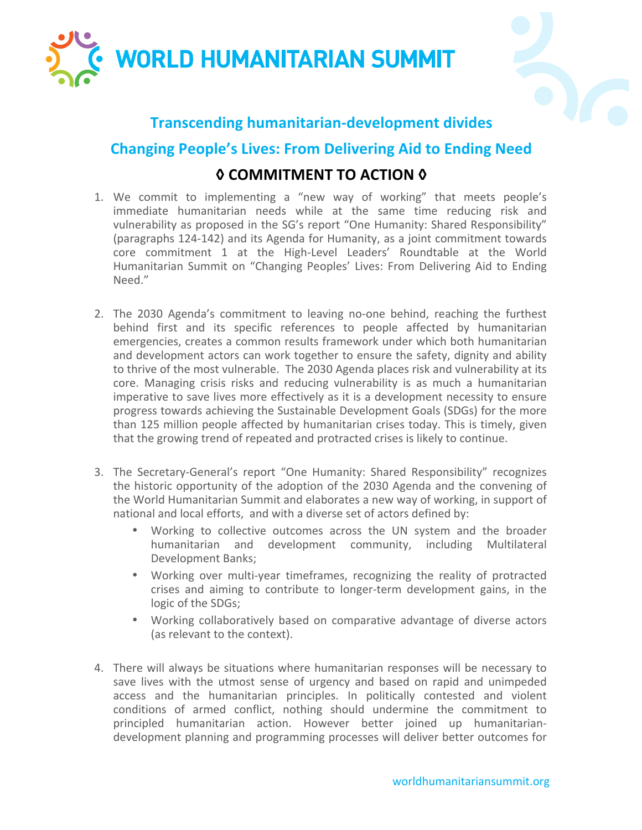



## **Transcending humanitarian-development divides**

## **Changing People's Lives: From Delivering Aid to Ending Need**

## **◊ COMMITMENT TO ACTION ◊**

- 1. We commit to implementing a "new way of working" that meets people's immediate humanitarian needs while at the same time reducing risk and vulnerability as proposed in the SG's report "One Humanity: Shared Responsibility" (paragraphs 124-142) and its Agenda for Humanity, as a joint commitment towards core commitment 1 at the High-Level Leaders' Roundtable at the World Humanitarian Summit on "Changing Peoples' Lives: From Delivering Aid to Ending Need."
- 2. The 2030 Agenda's commitment to leaving no-one behind, reaching the furthest behind first and its specific references to people affected by humanitarian emergencies, creates a common results framework under which both humanitarian and development actors can work together to ensure the safety, dignity and ability to thrive of the most vulnerable. The 2030 Agenda places risk and vulnerability at its core. Managing crisis risks and reducing vulnerability is as much a humanitarian imperative to save lives more effectively as it is a development necessity to ensure progress towards achieving the Sustainable Development Goals (SDGs) for the more than 125 million people affected by humanitarian crises today. This is timely, given that the growing trend of repeated and protracted crises is likely to continue.
- 3. The Secretary-General's report "One Humanity: Shared Responsibility" recognizes the historic opportunity of the adoption of the 2030 Agenda and the convening of the World Humanitarian Summit and elaborates a new way of working, in support of national and local efforts, and with a diverse set of actors defined by:
	- Working to collective outcomes across the UN system and the broader humanitarian and development community, including Multilateral Development Banks:
	- Working over multi-year timeframes, recognizing the reality of protracted crises and aiming to contribute to longer-term development gains, in the logic of the SDGs;
	- Working collaboratively based on comparative advantage of diverse actors (as relevant to the context).
- 4. There will always be situations where humanitarian responses will be necessary to save lives with the utmost sense of urgency and based on rapid and unimpeded access and the humanitarian principles. In politically contested and violent conditions of armed conflict, nothing should undermine the commitment to principled humanitarian action. However better joined up humanitariandevelopment planning and programming processes will deliver better outcomes for